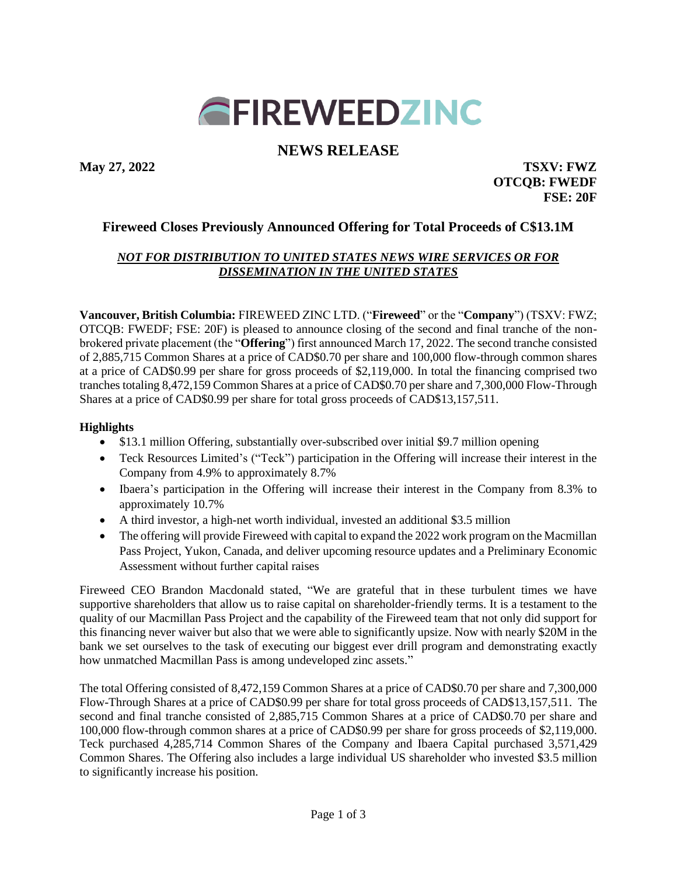# **AFIREWEEDZINC**

## **NEWS RELEASE**

**May 27, 2022 TSXV: FWZ OTCQB: FWEDF FSE: 20F**

## **Fireweed Closes Previously Announced Offering for Total Proceeds of C\$13.1M**

## *NOT FOR DISTRIBUTION TO UNITED STATES NEWS WIRE SERVICES OR FOR DISSEMINATION IN THE UNITED STATES*

**Vancouver, British Columbia:** FIREWEED ZINC LTD. ("**Fireweed**" or the "**Company**") (TSXV: FWZ; OTCQB: FWEDF; FSE: 20F) is pleased to announce closing of the second and final tranche of the nonbrokered private placement (the "**Offering**") first announced March 17, 2022. The second tranche consisted of 2,885,715 Common Shares at a price of CAD\$0.70 per share and 100,000 flow-through common shares at a price of CAD\$0.99 per share for gross proceeds of \$2,119,000. In total the financing comprised two tranches totaling 8,472,159 Common Shares at a price of CAD\$0.70 per share and 7,300,000 Flow-Through Shares at a price of CAD\$0.99 per share for total gross proceeds of CAD\$13,157,511.

### **Highlights**

- \$13.1 million Offering, substantially over-subscribed over initial \$9.7 million opening
- Teck Resources Limited's ("Teck") participation in the Offering will increase their interest in the Company from 4.9% to approximately 8.7%
- Ibaera's participation in the Offering will increase their interest in the Company from 8.3% to approximately 10.7%
- A third investor, a high-net worth individual, invested an additional \$3.5 million
- The offering will provide Fireweed with capital to expand the 2022 work program on the Macmillan Pass Project, Yukon, Canada, and deliver upcoming resource updates and a Preliminary Economic Assessment without further capital raises

Fireweed CEO Brandon Macdonald stated, "We are grateful that in these turbulent times we have supportive shareholders that allow us to raise capital on shareholder-friendly terms. It is a testament to the quality of our Macmillan Pass Project and the capability of the Fireweed team that not only did support for this financing never waiver but also that we were able to significantly upsize. Now with nearly \$20M in the bank we set ourselves to the task of executing our biggest ever drill program and demonstrating exactly how unmatched Macmillan Pass is among undeveloped zinc assets."

The total Offering consisted of 8,472,159 Common Shares at a price of CAD\$0.70 per share and 7,300,000 Flow-Through Shares at a price of CAD\$0.99 per share for total gross proceeds of CAD\$13,157,511. The second and final tranche consisted of 2,885,715 Common Shares at a price of CAD\$0.70 per share and 100,000 flow-through common shares at a price of CAD\$0.99 per share for gross proceeds of \$2,119,000. Teck purchased 4,285,714 Common Shares of the Company and Ibaera Capital purchased 3,571,429 Common Shares. The Offering also includes a large individual US shareholder who invested \$3.5 million to significantly increase his position.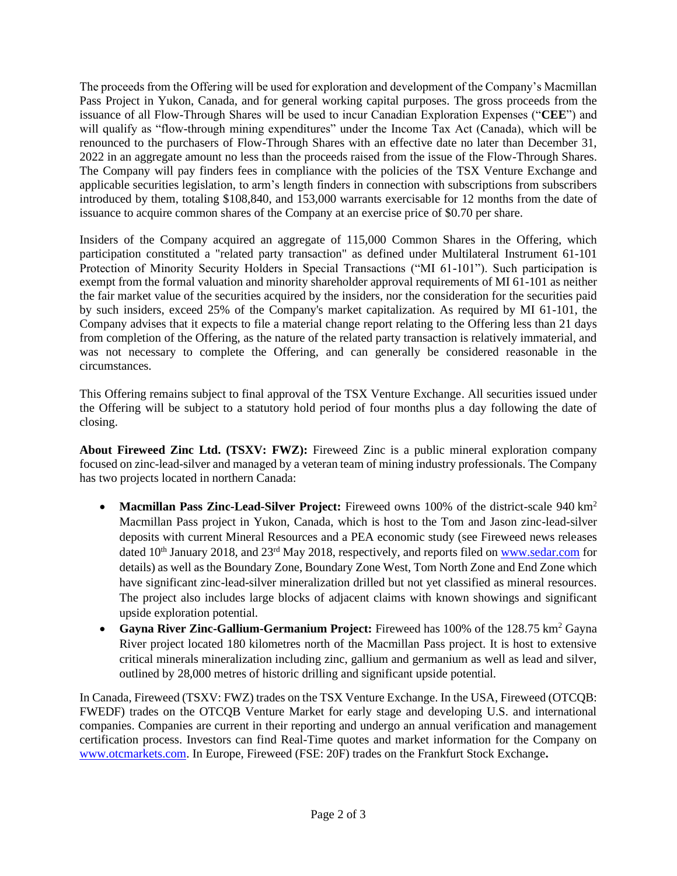The proceeds from the Offering will be used for exploration and development of the Company's Macmillan Pass Project in Yukon, Canada, and for general working capital purposes. The gross proceeds from the issuance of all Flow-Through Shares will be used to incur Canadian Exploration Expenses ("**CEE**") and will qualify as "flow-through mining expenditures" under the Income Tax Act (Canada), which will be renounced to the purchasers of Flow-Through Shares with an effective date no later than December 31, 2022 in an aggregate amount no less than the proceeds raised from the issue of the Flow-Through Shares. The Company will pay finders fees in compliance with the policies of the TSX Venture Exchange and applicable securities legislation, to arm's length finders in connection with subscriptions from subscribers introduced by them, totaling \$108,840, and 153,000 warrants exercisable for 12 months from the date of issuance to acquire common shares of the Company at an exercise price of \$0.70 per share.

Insiders of the Company acquired an aggregate of 115,000 Common Shares in the Offering, which participation constituted a "related party transaction" as defined under Multilateral Instrument 61-101 Protection of Minority Security Holders in Special Transactions ("MI 61-101"). Such participation is exempt from the formal valuation and minority shareholder approval requirements of MI 61-101 as neither the fair market value of the securities acquired by the insiders, nor the consideration for the securities paid by such insiders, exceed 25% of the Company's market capitalization. As required by MI 61-101, the Company advises that it expects to file a material change report relating to the Offering less than 21 days from completion of the Offering, as the nature of the related party transaction is relatively immaterial, and was not necessary to complete the Offering, and can generally be considered reasonable in the circumstances.

This Offering remains subject to final approval of the TSX Venture Exchange. All securities issued under the Offering will be subject to a statutory hold period of four months plus a day following the date of closing.

**About Fireweed Zinc Ltd. (TSXV: FWZ):** Fireweed Zinc is a public mineral exploration company focused on zinc-lead-silver and managed by a veteran team of mining industry professionals. The Company has two projects located in northern Canada:

- **Macmillan Pass Zinc-Lead-Silver Project:** Fireweed owns 100% of the district-scale 940 km<sup>2</sup> Macmillan Pass project in Yukon, Canada, which is host to the Tom and Jason zinc-lead-silver deposits with current Mineral Resources and a PEA economic study (see Fireweed news releases dated 10<sup>th</sup> January 2018, and 23<sup>rd</sup> May 2018, respectively, and reports filed on [www.sedar.com](about:blank) for details) as well as the Boundary Zone, Boundary Zone West, Tom North Zone and End Zone which have significant zinc-lead-silver mineralization drilled but not yet classified as mineral resources. The project also includes large blocks of adjacent claims with known showings and significant upside exploration potential.
- Gayna River Zinc-Gallium-Germanium Project: Fireweed has 100% of the 128.75 km<sup>2</sup> Gayna River project located 180 kilometres north of the Macmillan Pass project. It is host to extensive critical minerals mineralization including zinc, gallium and germanium as well as lead and silver, outlined by 28,000 metres of historic drilling and significant upside potential.

In Canada, Fireweed (TSXV: FWZ) trades on the TSX Venture Exchange. In the USA, Fireweed (OTCQB: FWEDF) trades on the OTCQB Venture Market for early stage and developing U.S. and international companies. Companies are current in their reporting and undergo an annual verification and management certification process. Investors can find Real-Time quotes and market information for the Company on [www.otcmarkets.com.](about:blank) In Europe, Fireweed (FSE: 20F) trades on the Frankfurt Stock Exchange**.**